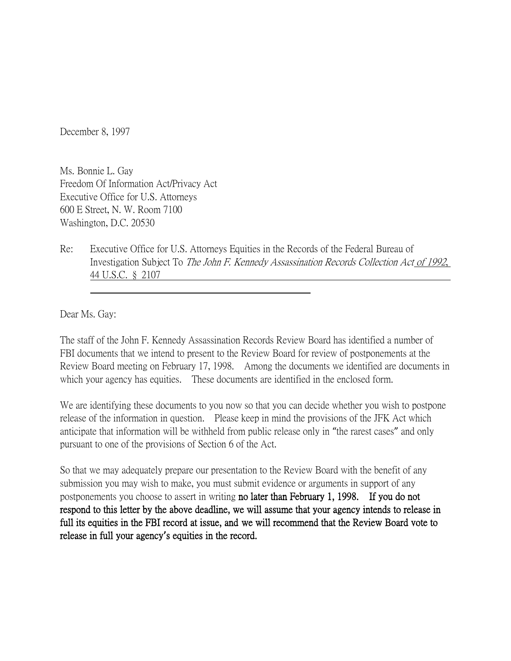December 8, 1997

Ms. Bonnie L. Gay Freedom Of Information Act/Privacy Act Executive Office for U.S. Attorneys 600 E Street, N. W. Room 7100 Washington, D.C. 20530

Re: Executive Office for U.S. Attorneys Equities in the Records of the Federal Bureau of Investigation Subject To The John F. Kennedy Assassination Records Collection Act of 1992, 44 U.S.C. § 2107

Dear Ms. Gay:

The staff of the John F. Kennedy Assassination Records Review Board has identified a number of FBI documents that we intend to present to the Review Board for review of postponements at the Review Board meeting on February 17, 1998. Among the documents we identified are documents in which your agency has equities. These documents are identified in the enclosed form.

We are identifying these documents to you now so that you can decide whether you wish to postpone release of the information in question. Please keep in mind the provisions of the JFK Act which anticipate that information will be withheld from public release only in "the rarest cases" and only pursuant to one of the provisions of Section 6 of the Act.

So that we may adequately prepare our presentation to the Review Board with the benefit of any submission you may wish to make, you must submit evidence or arguments in support of any postponements you choose to assert in writing no later than February 1, 1998. If you do not respond to this letter by the above deadline, we will assume that your agency intends to release in full its equities in the FBI record at issue, and we will recommend that the Review Board vote to release in full your agency**'**s equities in the record.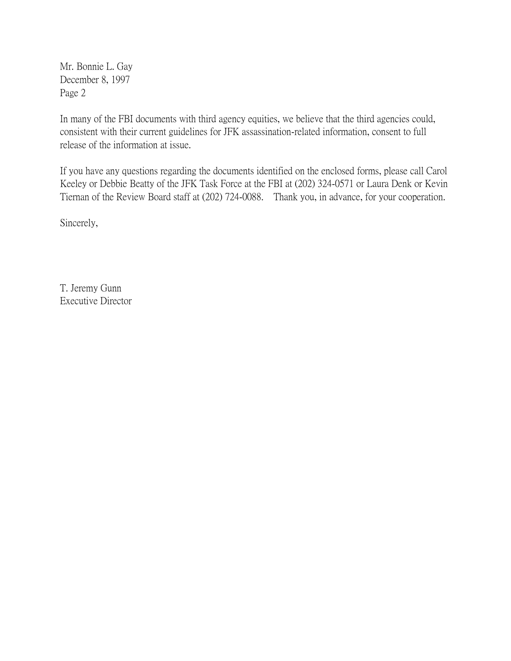Mr. Bonnie L. Gay December 8, 1997 Page 2

In many of the FBI documents with third agency equities, we believe that the third agencies could, consistent with their current guidelines for JFK assassination-related information, consent to full release of the information at issue.

If you have any questions regarding the documents identified on the enclosed forms, please call Carol Keeley or Debbie Beatty of the JFK Task Force at the FBI at (202) 324-0571 or Laura Denk or Kevin Tiernan of the Review Board staff at (202) 724-0088. Thank you, in advance, for your cooperation.

Sincerely,

T. Jeremy Gunn Executive Director